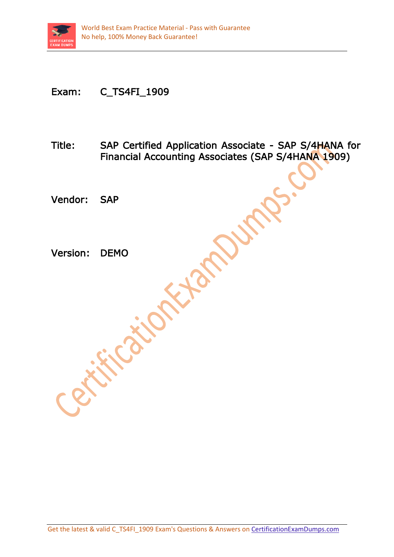

## Exam: C\_TS4FI\_1909

Title: SAP Certified Application Associate - SAP S/4HANA for Financial Accounting Associates (SAP S/4HANA 1909)

Vendor: SAP

Version: DEMO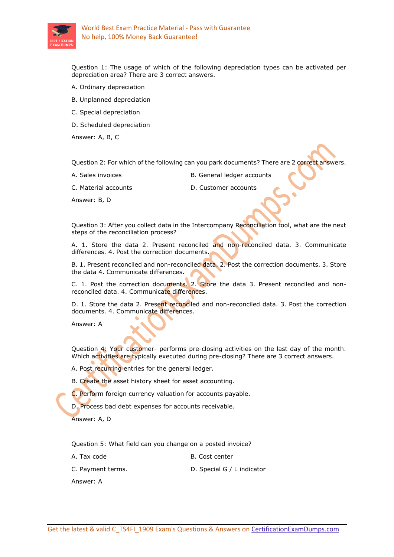

Question 1: The usage of which of the following depreciation types can be activated per depreciation area? There are 3 correct answers.

- A. Ordinary depreciation
- B. Unplanned depreciation
- C. Special depreciation
- D. Scheduled depreciation

Answer: A, B, C

Question 2: For which of the following can you park documents? There are 2 correct answers.

- 
- A. Sales invoices B. General ledger accounts

C. Material accounts D. Customer accounts

Answer: B, D

Question 3: After you collect data in the Intercompany Reconciliation tool, what are the next steps of the reconciliation process?

A. 1. Store the data 2. Present reconciled and non-reconciled data. 3. Communicate differences. 4. Post the correction documents.

B. 1. Present reconciled and non-reconciled data. 2. Post the correction documents. 3. Store the data 4. Communicate differences.

C. 1. Post the correction documents. 2. Store the data 3. Present reconciled and nonreconciled data. 4. Communicate differences.

D. 1. Store the data 2. Present reconciled and non-reconciled data. 3. Post the correction documents. 4. Communicate differences.

Answer: A

Question 4: Your customer- performs pre-closing activities on the last day of the month. Which activities are typically executed during pre-closing? There are 3 correct answers.

A. Post recurring entries for the general ledger.

B. Create the asset history sheet for asset accounting.

C. Perform foreign currency valuation for accounts payable.

D. Process bad debt expenses for accounts receivable.

Answer: A, D

Question 5: What field can you change on a posted invoice?

A. Tax code B. Cost center

C. Payment terms. D. Special G / L indicator

Answer: A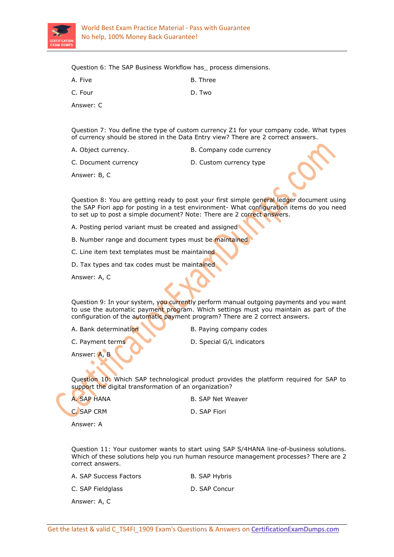

Question 6: The SAP Business Workflow has\_ process dimensions.

| A. Five  | B. Three |
|----------|----------|
| C. Four  | D. Two   |
| Answer C |          |

Question 7: You define the type of custom currency Z1 for your company code. What types of currency should be stored in the Data Entry view? There are 2 correct answers.

A. Object currency. The B. Company code currency

C. Document currency D. Custom currency type

Answer: B, C

Question 8: You are getting ready to post your first simple general ledger document using the SAP Fiori app for posting in a test environment- What configuration items do you need to set up to post a simple document? Note: There are 2 correct answers.

A. Posting period variant must be created and assigned

B. Number range and document types must be maintained

C. Line item text templates must be maintained

D. Tax types and tax codes must be maintained

Answer: A, C

Question 9: In your system, you currently perform manual outgoing payments and you want to use the automatic payment program. Which settings must you maintain as part of the configuration of the automatic payment program? There are 2 correct answers.

- A. Bank determination B. Paying company codes
- C. Payment terms D. Special G/L indicators

Answer: A, B

Question 10: Which SAP technological product provides the platform required for SAP to support the digital transformation of an organization?

A. SAP HANA B. SAP Net Weaver

C. SAP CRM D. SAP Fiori

Answer: A

Question 11: Your customer wants to start using SAP S/4HANA line-of-business solutions. Which of these solutions help you run human resource management processes? There are 2 correct answers.

A. SAP Success Factors B. SAP Hybris

C. SAP Fieldglass D. SAP Concur

Answer: A, C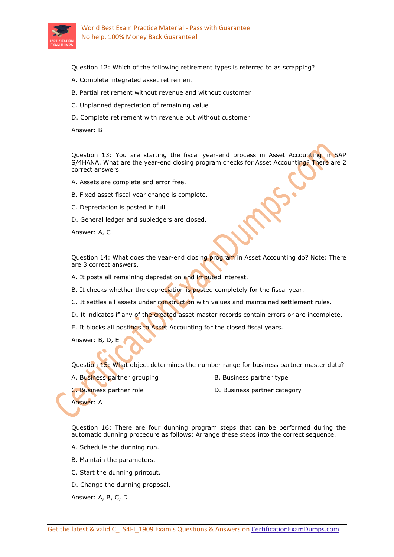

Question 12: Which of the following retirement types is referred to as scrapping?

- A. Complete integrated asset retirement
- B. Partial retirement without revenue and without customer
- C. Unplanned depreciation of remaining value
- D. Complete retirement with revenue but without customer

Answer: B

Question 13: You are starting the fiscal year-end process in Asset Accounting in SAP S/4HANA. What are the year-end closing program checks for Asset Accounting? There are 2 correct answers.

- A. Assets are complete and error free.
- B. Fixed asset fiscal year change is complete.
- C. Depreciation is posted in full
- D. General ledger and subledgers are closed.

Answer: A, C

Question 14: What does the year-end closing program in Asset Accounting do? Note: There are 3 correct answers.

A. It posts all remaining depredation and imputed interest.

B. It checks whether the depreciation is posted completely for the fiscal year.

C. It settles all assets under construction with values and maintained settlement rules.

D. It indicates if any of the created asset master records contain errors or are incomplete.

E. It blocks all postings to Asset Accounting for the closed fiscal years.

Answer: B, D, E

Question 15: What object determines the number range for business partner master data?

- A. Business partner grouping The B. Business partner type
	-

C. Business partner role **C.** Business partner category

Answer: A

Question 16: There are four dunning program steps that can be performed during the automatic dunning procedure as follows: Arrange these steps into the correct sequence.

A. Schedule the dunning run.

- B. Maintain the parameters.
- C. Start the dunning printout.
- D. Change the dunning proposal.

Answer: A, B, C, D